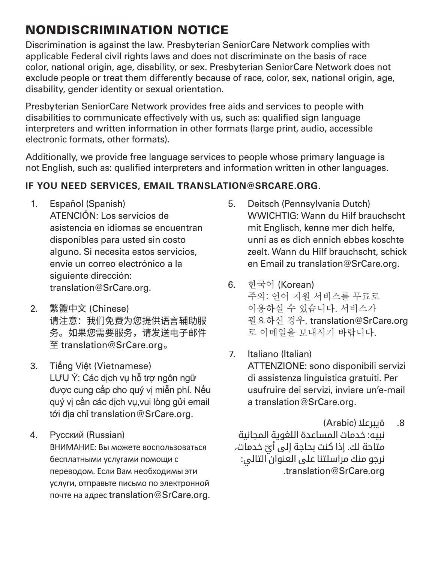## NONDISCRIMINATION NOTICE

Discrimination is against the law. Presbyterian SeniorCare Network complies with applicable Federal civil rights laws and does not discriminate on the basis of race color, national origin, age, disability, or sex. Presbyterian SeniorCare Network does not exclude people or treat them differently because of race, color, sex, national origin, age, disability, gender identity or sexual orientation.

Presbyterian SeniorCare Network provides free aids and services to people with disabilities to communicate effectively with us, such as: qualified sign language interpreters and written information in other formats (large print, audio, accessible electronic formats, other formats).

Additionally, we provide free language services to people whose primary language is not English, such as: qualified interpreters and information written in other languages.

## **IF YOU NEED SERVICES, EMAIL TRANSLATION@SRCARE.ORG.**

- 1. Español (Spanish) ATENCIÓN: Los servicios de asistencia en idiomas se encuentran disponibles para usted sin costo alguno. Si necesita estos servicios, envíe un correo electrónico a la siguiente dirección: translation@SrCare.org.
- 2. 繁體中文 (Chinese) 请注意:我们免费为您提供语言辅助服 务。如果您需要服务,请发送电子邮件 至 translation@SrCare.org 。
- 3. Tiếng Việt (Vietnamese) LƯU Ý: Các dịch vụ hỗ trợ ngôn ngữ được cung cấp cho quý vị miễn phí. Nếu quý vị cần các dịch vụ,vui lòng gửi email tới địa chỉ translation@SrCare.org.
- 4. Русский (Russian) ВНИМАНИЕ: Вы можете воспользоваться бесплатными услугами помощи с переводом. Если Вам необходимы эти услуги, отправьте письмо по электронной почте на адрес translation@SrCare.org.
- 5. Deitsch (Pennsylvania Dutch) WWICHTIG: Wann du Hilf brauchscht mit Englisch, kenne mer dich helfe, unni as es dich ennich ebbes koschte zeelt. Wann du Hilf brauchscht, schick en Email zu translation@SrCare.org.
- 6. 한국어 (Korean) 주의: 언어 지원 서비스를 무료로 이용하실 수 있습니다. 서비스가 필요하신 경우, translation@SrCare.org 로 이메일을 보내시기 바랍니다.
- 7. Italiano (Italian) ATTENZIONE: sono disponibili servizi di assistenza linguistica gratuiti. Per usufruire dei servizi, inviare un'e-mail a translation@SrCare.org.
- .8 ةيبرعال )Arabic) نبيه: خدمات المساعدة اللغوية المجانية متاحة لك. إذا كنت بحاجة إلى أيّ خدمات،<br>. نرجو منك مراسلتنا على العنوان التالي: .translation@SrCare.org